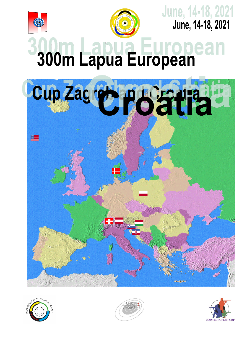



June, 14-18, 2021<br>June, 14-18, 2021

# 300m Lapua European







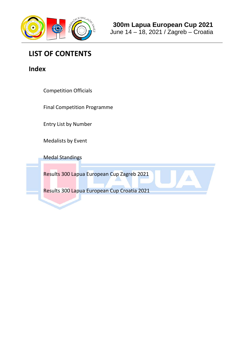

# **LIST OF CONTENTS**

**Index**

Competition Officials

Final Competition Programme

Entry List by Number

Medalists by Event

Medal Standings

Results 300 Lapua European Cup Zagreb 2021

Results 300 Lapua European Cup Croatia 2021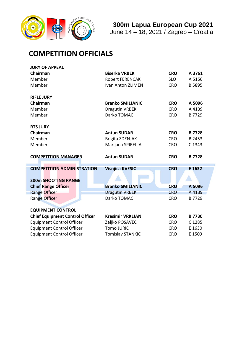

推

# **300m Lapua European Cup 2021**

June 14 – 18, 2021 / Zagreb – Croatia

# **COMPETITION OFFICIALS**

| <b>JURY OF APPEAL</b>                  |                                      |            |              |
|----------------------------------------|--------------------------------------|------------|--------------|
| Chairman                               | <b>Biserka VRBEK</b>                 | <b>CRO</b> | A 3761       |
| Member                                 | <b>Robert FERENCAK</b>               | A 5156     |              |
| Member                                 | Ivan Anton ZLIMEN                    | <b>CRO</b> | B 5895       |
| <b>RIFLE JURY</b>                      |                                      |            |              |
| Chairman                               | <b>Branko SMILJANIC</b>              | <b>CRO</b> | A 5096       |
| Member                                 |                                      | <b>CRO</b> |              |
|                                        | <b>Dragutin VRBEK</b><br>Darko TOMAC |            | A 4139       |
| Member                                 |                                      | <b>CRO</b> | B 7729       |
| <b>RTS JURY</b>                        |                                      |            |              |
| Chairman                               | <b>Antun SUDAR</b>                   | <b>CRO</b> | <b>B7728</b> |
| Member                                 | <b>Brigita ZDENJAK</b>               | <b>CRO</b> | B 2453       |
| Member                                 | Marijana SPIRELJA                    | C 1343     |              |
|                                        |                                      |            |              |
| <b>COMPETITION MANAGER</b>             | <b>Antun SUDAR</b>                   | <b>CRO</b> | <b>B7728</b> |
|                                        |                                      |            |              |
| <b>COMPETITION ADMINISTRATION</b>      | <b>Visnjica KVESIC</b>               | <b>CRO</b> | E 1632       |
|                                        |                                      |            |              |
| <b>300m SHOOTING RANGE</b>             |                                      |            |              |
| <b>Chief Range Officer</b>             | <b>Branko SMILJANIC</b>              | <b>CRO</b> | A 5096       |
| <b>Range Officer</b>                   | <b>Dragutin VRBEK</b>                | <b>CRO</b> | A 4139       |
| Range Officer                          | Darko TOMAC                          | <b>CRO</b> | B 7729       |
|                                        |                                      |            |              |
| <b>EQUIPMENT CONTROL</b>               |                                      |            |              |
| <b>Chief Equipment Control Officer</b> | <b>Kresimir VRKLJAN</b>              | <b>CRO</b> | <b>B7730</b> |
| <b>Equipment Control Officer</b>       |                                      |            |              |
|                                        | Zeljko POSAVEC                       | <b>CRO</b> | C 1285       |
| <b>Equipment Control Officer</b>       | <b>Tomo JURIC</b>                    | <b>CRO</b> | E 1630       |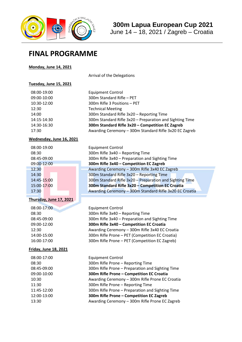

# **300m Lapua European Cup 2021**

June 14 – 18, 2021 / Zagreb – Croatia

# **FINAL PROGRAMME**

#### **Monday, June 14, 2021**

Arrival of the Delegations

## **Tuesday, June 15, 2021**

| 08:00-19:00 | <b>Equipment Control</b>                                 |
|-------------|----------------------------------------------------------|
| 09:00-10:00 | 300m Standard Rifle - PET                                |
| 10:30-12:00 | 300m Rifle 3 Positions - PET                             |
| 12:30       | <b>Technical Meeting</b>                                 |
| 14:00       | 300m Standard Rifle 3x20 - Reporting Time                |
| 14:15-14:30 | 300m Standard Rifle 3x20 - Preparation and Sighting Time |
| 14:30-16:30 | 300m Standard Rifle 3x20 - Competition EC Zagreb         |
| 17:30       | Awarding Ceremony - 300m Standard Rifle 3x20 EC Zagreb   |
|             |                                                          |

Equipment Control

08:30 300m Rifle 3x40 – Reporting Time

08:45-09:00 300m Rifle 3x40 – Preparation and Sighting Time

Awarding Ceremony - 300m Rifle 3x40 EC Zagreb 300m Standard Rifle 3x20 - Reporting Time

300m Standard Rifle 3x20 - Preparation and Sighting Time 15:00-17:00 **300m Standard Rifle 3x20 – Competition EC Croatia** Awarding Ceremony - 300m Standard Rifle 3x20 EC Croatia

09:00-12:00 **300m Rifle 3x40 – Competition EC Zagreb**

## **Wednesday, June 16, 2021**

| 08:00-19:00 |
|-------------|
| 08:30       |
| 08:45-09:00 |
| 09:00-12:00 |
| 12:30       |
| 14:30       |
| 14:45-15:00 |
| 15:00-17:00 |
| 17:30       |

#### **Thursday, June 17, 2021**

| 08:00-17:00           | <b>Equipment Control</b>                         |
|-----------------------|--------------------------------------------------|
| 08:30                 | 300m Rifle 3x40 - Reporting Time                 |
| 08:45-09:00           | 300m Rifle 3x40 - Preparation and Sighting Time  |
| 09:00-12:00           | 300m Rifle 3x40 - Competition EC Croatia         |
| 12:30                 | Awarding Ceremony - 300m Rifle 3x40 EC Croatia   |
| 14:00-15:00           | 300m Rifle Prone - PET (Competition EC Croatia)  |
| 16:00-17:00           | 300m Rifle Prone - PET (Competition EC Zagreb)   |
| Friday, June 18, 2021 |                                                  |
| 08:00-17:00           | <b>Equipment Control</b>                         |
| 08:30                 | 300m Rifle Prone - Reporting Time                |
| 08:45-09:00           | 300m Rifle Prone - Preparation and Sighting Time |
| 09:00-10:00           | 300m Rifle Prone - Competition EC Croatia        |
| 10:30                 | Awarding Ceremony - 300m Rifle Prone EC Croatia  |
| 11:30                 | 300m Rifle Prone - Reporting Time                |
| 11:45-12:00           | 300m Rifle Prone - Preparation and Sighting Time |
| 12:00-13:00           | 300m Rifle Prone - Competition EC Zagreb         |
| 13:30                 | Awarding Ceremony - 300m Rifle Prone EC Zagreb   |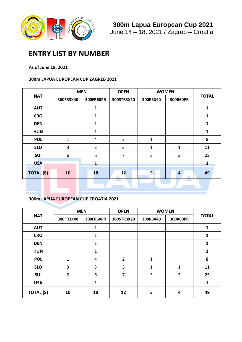

# **ENTRY LIST BY NUMBER**

## **As of June 18, 2021**

## **300m LAPUA EUROPEAN CUP ZAGREB 2021**

|                  | <b>MEN</b>     |                         | <b>OPEN</b>    | <b>WOMEN</b> |                |              |
|------------------|----------------|-------------------------|----------------|--------------|----------------|--------------|
| <b>NAT</b>       | 300FR3X40      | 300FR60PR               | 300STR3X20     | 300R3X40     | 300R60PR       | <b>TOTAL</b> |
| <b>AUT</b>       |                | $\mathbf 1$             |                |              |                | $\mathbf{1}$ |
| <b>CRO</b>       |                | $\mathbf{1}$            |                |              |                | $\mathbf{1}$ |
| <b>DEN</b>       |                | $\mathbf{1}$            |                |              |                | 1            |
| <b>HUN</b>       |                | $\mathbf{1}$            |                |              |                | $\mathbf{1}$ |
| <b>POL</b>       | $\overline{1}$ | $\overline{\mathbf{4}}$ | $\overline{2}$ | $\mathbf 1$  |                | 8            |
| <b>SLO</b>       | 3              | 3                       | 3              | $\mathbf 1$  | $\mathbf 1$    | 11           |
| <b>SUI</b>       | 6              | 6                       | $\overline{7}$ | 3            | 3              | 25           |
| <b>USA</b>       |                | $\mathbf{1}$            |                |              |                | $\mathbf{1}$ |
| <b>TOTAL (8)</b> | 10             | 18                      | 12             | 5            | $\overline{4}$ | 49           |
|                  |                |                         |                |              |                |              |

## **300m LAPUA EUROPEAN CUP CROATIA 2021**

|                  | <b>MEN</b> |              | <b>OPEN</b>    | <b>WOMEN</b> |          |              |  |
|------------------|------------|--------------|----------------|--------------|----------|--------------|--|
| <b>NAT</b>       | 300FR3X40  | 300FR60PR    | 300STR3X20     | 300R3X40     | 300R60PR | <b>TOTAL</b> |  |
| <b>AUT</b>       |            | $\mathbf 1$  |                |              |          | 1            |  |
| <b>CRO</b>       |            | $\mathbf 1$  |                |              |          | 1            |  |
| <b>DEN</b>       |            | $\mathbf{1}$ |                |              |          | 1            |  |
| <b>HUN</b>       |            | $\mathbf 1$  |                |              |          | $\mathbf{1}$ |  |
| <b>POL</b>       | 1          | 4            | $\overline{2}$ | 1            |          | 8            |  |
| <b>SLO</b>       | 3          | 3            | 3              | 1            | 1        | 11           |  |
| <b>SUI</b>       | 6          | 6            | 7              | 3            | 3        | 25           |  |
| <b>USA</b>       |            | $\mathbf{1}$ |                |              |          | 1            |  |
| <b>TOTAL (8)</b> | 10         | 18           | 12             | 5            | 4        | 49           |  |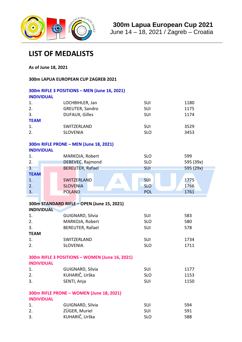

June 14 – 18, 2021 / Zagreb – Croatia

# **LIST OF MEDALISTS**

**As of June 18, 2021**

**300m LAPUA EUROPEAN CUP ZAGREB 2021**

| <b>INDIVIDUAL</b>             | 300m RIFLE 3 POSITIONS - MEN (June 16, 2021)    |                                 |                      |
|-------------------------------|-------------------------------------------------|---------------------------------|----------------------|
| 1.                            | LOCHBIHLER, Jan                                 | SUI                             | 1180                 |
| 2.                            | GREUTER, Sandro                                 | SUI                             | 1175                 |
| 3.                            | <b>DUFAUX, Gilles</b>                           | SUI                             | 1174                 |
| <b>TEAM</b>                   |                                                 |                                 |                      |
| 1.                            | SWITZERLAND                                     | SUI                             | 3529                 |
| 2.                            | <b>SLOVENIA</b>                                 | <b>SLO</b>                      | 3453                 |
| <b>INDIVIDUAL</b>             | 300m RIFLE PRONE - MEN (June 18, 2021)          |                                 |                      |
| 1.                            | MARKOJA, Robert                                 | <b>SLO</b>                      | 599                  |
| 2.                            | DEBEVEC, Rajmond                                | <b>SLO</b>                      | 595 (39x)            |
| 3.                            | <b>BEREUTER, Rafael</b>                         | <b>SUI</b>                      | 595 (29x)            |
| <b>TEAM</b><br>1.<br>2.<br>3. | SWITZERLAND<br><b>SLOVENIA</b><br><b>POLAND</b> | SUI<br><b>SLO</b><br><b>POL</b> | 1775<br>1766<br>1761 |
|                               |                                                 |                                 |                      |
|                               | 300m STANDARD RIFLE - OPEN (June 15, 2021)      |                                 |                      |
| <b>INDIVIDUAL</b>             |                                                 |                                 |                      |
| 1.                            | GUIGNARD, Silvia                                | SUI                             | 583                  |
| 2.                            | MARKOJA, Robert                                 | <b>SLO</b>                      | 580                  |
| 3.<br><b>TEAM</b>             | BEREUTER, Rafael                                | SUI                             | 578                  |
|                               | SWITZERLAND                                     | SUI                             | 1734                 |
| 1.<br>2.                      | <b>SLOVENIA</b>                                 | <b>SLO</b>                      | 1711                 |
|                               |                                                 |                                 |                      |
| <b>INDIVIDUAL</b>             | 300m RIFLE 3 POSITIONS - WOMEN (June 16, 2021)  |                                 |                      |
| 1.                            | GUIGNARD, Silvia                                | <b>SUI</b>                      | 1177                 |
| 2.                            | KUHARIČ, Urška                                  | <b>SLO</b>                      | 1153                 |
| 3.                            | SENTI, Anja                                     | SUI                             | 1150                 |
| <b>INDIVIDUAL</b>             | 300m RIFLE PRONE - WOMEN (June 18, 2021)        |                                 |                      |
| 1.                            | GUIGNARD, Silvia                                | SUI                             | 594                  |
| 2.                            | ZÜGER, Muriel                                   | SUI                             | 591                  |
| 3.                            | KUHARIČ, Urška                                  | <b>SLO</b>                      | 588                  |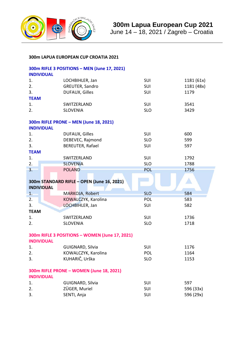

June 14 – 18, 2021 / Zagreb – Croatia

## **300m LAPUA EUROPEAN CUP CROATIA 2021**

|                   | 300m RIFLE 3 POSITIONS - MEN (June 17, 2021)   |            |                        |  |  |  |  |  |  |  |
|-------------------|------------------------------------------------|------------|------------------------|--|--|--|--|--|--|--|
| <b>INDIVIDUAL</b> |                                                |            |                        |  |  |  |  |  |  |  |
| 1.                | LOCHBIHLER, Jan                                | SUI        | 1181 (61x)             |  |  |  |  |  |  |  |
| 2.                | GREUTER, Sandro                                | SUI        | 1181 (48x)             |  |  |  |  |  |  |  |
| 3.                | <b>DUFAUX, Gilles</b>                          | SUI        | 1179                   |  |  |  |  |  |  |  |
| <b>TEAM</b>       |                                                |            |                        |  |  |  |  |  |  |  |
| 1.                | SWITZERLAND                                    | SUI        | 3541                   |  |  |  |  |  |  |  |
| 2.                | <b>SLOVENIA</b>                                | <b>SLO</b> | 3429                   |  |  |  |  |  |  |  |
| <b>INDIVIDUAL</b> | 300m RIFLE PRONE - MEN (June 18, 2021)         |            |                        |  |  |  |  |  |  |  |
| 1.                | DUFAUX, Gilles                                 | SUI        | 600                    |  |  |  |  |  |  |  |
| 2.                | DEBEVEC, Rajmond                               | <b>SLO</b> | 599                    |  |  |  |  |  |  |  |
| 3.                | BEREUTER, Rafael                               | SUI        | 597                    |  |  |  |  |  |  |  |
| <b>TEAM</b>       |                                                |            |                        |  |  |  |  |  |  |  |
| 1.                | SWITZERLAND                                    | SUI        | 1792                   |  |  |  |  |  |  |  |
| 2.                | <b>SLOVENIA</b>                                | <b>SLO</b> | 1788                   |  |  |  |  |  |  |  |
| 3.                | <b>POLAND</b>                                  | <b>POL</b> | 1756                   |  |  |  |  |  |  |  |
|                   |                                                |            |                        |  |  |  |  |  |  |  |
|                   | 300m STANDARD RIFLE - OPEN (June 16, 2021)     |            |                        |  |  |  |  |  |  |  |
|                   |                                                |            |                        |  |  |  |  |  |  |  |
| <b>INDIVIDUAL</b> |                                                |            |                        |  |  |  |  |  |  |  |
| 1.                | MARKOJA, Robert                                | <b>SLO</b> | 584                    |  |  |  |  |  |  |  |
| 2.                | KOWALCZYK, Karolina                            | POL        | 583                    |  |  |  |  |  |  |  |
| 3.                | LOCHBIHLER, Jan                                | SUI        | 582                    |  |  |  |  |  |  |  |
| <b>TEAM</b>       |                                                |            |                        |  |  |  |  |  |  |  |
| 1.                | SWITZERLAND                                    | SUI        | 1736                   |  |  |  |  |  |  |  |
| 2.                | <b>SLOVENIA</b>                                | <b>SLO</b> | 1718                   |  |  |  |  |  |  |  |
| <b>INDIVIDUAL</b> | 300m RIFLE 3 POSITIONS - WOMEN (June 17, 2021) |            |                        |  |  |  |  |  |  |  |
| 1.                | GUIGNARD, Silvia                               | SUI        | 1176                   |  |  |  |  |  |  |  |
| 2.                | KOWALCZYK, Karolina                            | POL        | 1164                   |  |  |  |  |  |  |  |
| 3.                | KUHARIČ, Urška                                 | <b>SLO</b> | 1153                   |  |  |  |  |  |  |  |
| <b>INDIVIDUAL</b> | 300m RIFLE PRONE - WOMEN (June 18, 2021)       |            |                        |  |  |  |  |  |  |  |
| 1.                | GUIGNARD, Silvia                               | SUI        | 597                    |  |  |  |  |  |  |  |
| 2.                | ZÜGER, Muriel                                  | SUI        |                        |  |  |  |  |  |  |  |
| 3.                | SENTI, Anja                                    | SUI        | 596 (33x)<br>596 (29x) |  |  |  |  |  |  |  |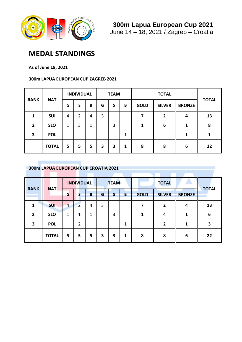

# **MEDAL STANDINGS**

**As of June 18, 2021**

## **300m LAPUA EUROPEAN CUP ZAGREB 2021**

| <b>RANK</b>              | <b>NAT</b>   |    | <b>INDIVIDUAL</b> |   |   | <b>TEAM</b> |                |             | <b>TOTAL</b>  |               | <b>TOTAL</b> |
|--------------------------|--------------|----|-------------------|---|---|-------------|----------------|-------------|---------------|---------------|--------------|
|                          |              | G  |                   | B | G | S           | B              | <b>GOLD</b> | <b>SILVER</b> | <b>BRONZE</b> |              |
| ------------------------ | <b>SUI</b>   | 4  |                   | 4 | 3 |             | -------------- |             |               |               | 13           |
|                          | <b>SLO</b>   | 1  | 3                 |   |   | 3           |                |             | h             |               | 8            |
|                          | <b>POL</b>   |    |                   |   |   |             |                |             |               |               |              |
|                          | <b>TOTAL</b> | 5. | 5                 | 5 | 3 | 3           |                | 8           | я             | 6             | 22           |

## **300m LAPUA EUROPEAN CUP CROATIA 2021**

|             |              |                 | <b>INDIVIDUAL</b> |   |   | <b>TEAM</b> |   |             | <b>TOTAL</b>  |               |              |
|-------------|--------------|-----------------|-------------------|---|---|-------------|---|-------------|---------------|---------------|--------------|
| <b>RANK</b> | <b>NAT</b>   | G               |                   | B | G |             | B | <b>GOLD</b> | <b>SILVER</b> | <b>BRONZE</b> | <b>TOTAL</b> |
|             | <b>SUI</b>   | 4               |                   |   | 3 |             |   |             |               |               | 13           |
|             | <b>SLO</b>   | --------------- | <br>1             |   |   |             |   |             |               |               | <br>n        |
|             | <b>POL</b>   |                 |                   |   |   |             |   |             |               |               |              |
|             | <b>TOTAL</b> | 5               | 5                 | 5 | 3 | 3           |   | Ջ           |               | 6             | 22           |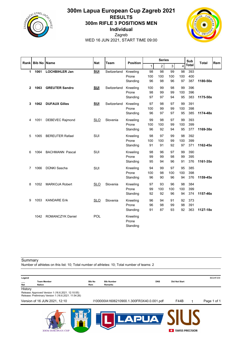

## **300m Lapua European Cup Zagreb 2021 RESULTS 300m RIFLE 3 POSITIONS MEN Individual** Zagreb WED 16 JUN 2021, START TIME 09:00



|              | <b>Bib No Name</b> |                         | <b>Nat</b> | <b>Team</b> | <b>Position</b> |     | <b>Series</b>  |     |     | Sub<br><b>Total</b> |          | Rem |
|--------------|--------------------|-------------------------|------------|-------------|-----------------|-----|----------------|-----|-----|---------------------|----------|-----|
| Rankl        |                    |                         |            |             |                 | 1   | $\overline{c}$ | 3   | 4   | <b>Total</b>        |          |     |
| 1            | 1061               | <b>LOCHBIHLER Jan</b>   | <b>SUI</b> | Switzerland | Kneeling        | 98  | 98             | 99  | 98  | 393                 |          |     |
|              |                    |                         |            |             | Prone           | 100 | 100            | 100 | 100 | 400                 |          |     |
|              |                    |                         |            |             | Standing        | 96  | 98             | 96  | 97  | 387                 | 1180-50x |     |
| $\mathbf{2}$ | 1063               | <b>GREUTER Sandro</b>   | <b>SUI</b> | Switzerland | Kneeling        | 100 | 99             | 98  | 99  | 396                 |          |     |
|              |                    |                         |            |             | Prone           | 98  | 99             | 99  | 100 | 396                 |          |     |
|              |                    |                         |            |             | Standing        | 97  | 97             | 94  | 95  | 383                 | 1175-50x |     |
| 3            | 1062               | <b>DUFAUX Gilles</b>    | <b>SUI</b> | Switzerland | Kneeling        | 97  | 98             | 97  | 99  | 391                 |          |     |
|              |                    |                         |            |             | Prone           | 100 | 99             | 99  | 100 | 398                 |          |     |
|              |                    |                         |            |             | Standing        | 96  | 97             | 97  | 95  | 385                 | 1174-48x |     |
| 4            | 1051               | <b>DEBEVEC Rajmond</b>  | <b>SLO</b> | Slovenia    | Kneeling        | 99  | 98             | 97  | 99  | 393                 |          |     |
|              |                    |                         |            |             | Prone           | 100 | 100            | 99  | 100 | 399                 |          |     |
|              |                    |                         |            |             | Standing        | 96  | 92             | 94  | 95  | 377                 | 1169-38x |     |
| 5            | 1065               | <b>BEREUTER Rafael</b>  | SUI        |             | Kneeling        | 98  | 97             | 99  | 98  | 392                 |          |     |
|              |                    |                         |            |             | Prone           | 100 | 100            | 99  | 100 | 399                 |          |     |
|              |                    |                         |            |             | Standing        | 91  | 91             | 92  | 97  | 371                 | 1162-45x |     |
| 6            | 1064               | <b>BACHMANN Pascal</b>  | SUI        |             | Kneeling        | 98  | 96             | 97  | 99  | 390                 |          |     |
|              |                    |                         |            |             | Prone           | 99  | 99             | 98  | 99  | 395                 |          |     |
|              |                    |                         |            |             | Standing        | 95  | 94             | 96  | 91  | 376                 | 1161-35x |     |
| 7            | 1066               | DÜNKI Sascha            | <b>SUI</b> |             | Kneeling        | 94  | 99             | 97  | 95  | 385                 |          |     |
|              |                    |                         |            |             | Prone           | 100 | 98             | 100 | 100 | 398                 |          |     |
|              |                    |                         |            |             | Standing        | 96  | 90             | 96  | 94  | 376                 | 1159-45x |     |
| 8            | 1052               | <b>MARKOJA Robert</b>   | <b>SLO</b> | Slovenia    | Kneeling        | 97  | 93             | 96  | 98  | 384                 |          |     |
|              |                    |                         |            |             | Prone           | 99  | 100            | 100 | 100 | 399                 |          |     |
|              |                    |                         |            |             | Standing        | 92  | 92             | 96  | 94  | 374                 | 1157-46x |     |
| 9            | 1053               | <b>KANDARE Erik</b>     | <b>SLO</b> | Slovenia    | Kneeling        | 96  | 94             | 91  | 92  | 373                 |          |     |
|              |                    |                         |            |             | Prone           | 96  | 98             | 99  | 98  | 391                 |          |     |
|              |                    |                         |            |             | Standing        | 91  | 87             | 93  | 92  | 363                 | 1127-18x |     |
|              | 1042               | <b>ROMANCZYK Daniel</b> | POL        |             | Kneeling        |     |                |     |     |                     |          |     |
|              |                    |                         |            |             | Prone           |     |                |     |     |                     |          |     |
|              |                    |                         |            |             | Standing        |     |                |     |     |                     |          |     |

**Summary** 

Number of athletes on this list: 10; Total number of athletes: 10; Total number of teams: 2

| <b>Team Member</b><br>Nat<br><b>Nation</b>                   |                      |                                           |            |                      | BD24F209    |
|--------------------------------------------------------------|----------------------|-------------------------------------------|------------|----------------------|-------------|
|                                                              | <b>Bib No</b><br>Rem | <b>Bib Number</b><br>Remarks              | <b>DNS</b> | <b>Did Not Start</b> |             |
| History<br>Release: Approved Version 1 (16.6.2021. 12:10:55) |                      |                                           |            |                      |             |
| Release: Preliminary Version 1 (16.6.2021. 11:54:26)         |                      |                                           |            |                      |             |
| Version of 16 JUN 2021, 12:10                                |                      | I100000IA1606210900.1.300FR3X40.0.001.pdf |            | F44B                 | Page 1 of 1 |
|                                                              |                      |                                           |            |                      |             |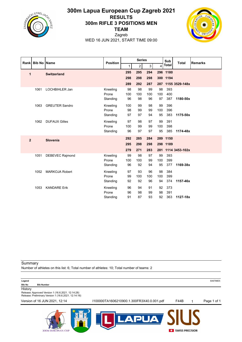

## **300m Lapua European Cup Zagreb 2021 RESULTS 300m RIFLE 3 POSITIONS MEN TEAM**



Zagreb WED 16 JUN 2021, START TIME 09:00

| Rank           | <b>Bib No Name</b> |                        | <b>Position</b> |     | <b>Series</b>  |     |     | Sub          | <b>Total</b>       | <b>Remarks</b> |
|----------------|--------------------|------------------------|-----------------|-----|----------------|-----|-----|--------------|--------------------|----------------|
|                |                    |                        |                 | 1   | $\overline{c}$ | 3   | 4   | <b>Total</b> |                    |                |
| 1              |                    | <b>Switzerland</b>     |                 | 295 | 295            | 294 |     | 296 1180     |                    |                |
|                |                    |                        |                 | 298 | 298            | 298 |     | 300 1194     |                    |                |
|                |                    |                        |                 | 289 | 292            | 287 |     |              | 287 1155 3529-148x |                |
|                | 1061               | LOCHBIHLER Jan         | Kneeling        | 98  | 98             | 99  | 98  | 393          |                    |                |
|                |                    |                        | Prone           | 100 | 100            | 100 | 100 | 400          |                    |                |
|                |                    |                        | Standing        | 96  | 98             | 96  | 97  | 387          | 1180-50x           |                |
|                | 1063               | <b>GREUTER Sandro</b>  | Kneeling        | 100 | 99             | 98  | 99  | 396          |                    |                |
|                |                    |                        | Prone           | 98  | 99             | 99  | 100 | 396          |                    |                |
|                |                    |                        | Standing        | 97  | 97             | 94  | 95  | 383          | 1175-50x           |                |
|                | 1062               | <b>DUFAUX Gilles</b>   | Kneeling        | 97  | 98             | 97  | 99  | 391          |                    |                |
|                |                    |                        | Prone           | 100 | 99             | 99  | 100 | 398          |                    |                |
|                |                    |                        | Standing        | 96  | 97             | 97  | 95  | 385          | 1174-48x           |                |
| $\overline{2}$ |                    | <b>Slovenia</b>        |                 | 292 | 285            | 284 |     | 289 1150     |                    |                |
|                |                    |                        |                 | 295 | 298            | 298 | 298 | 1189         |                    |                |
|                |                    |                        |                 | 279 | 271            | 283 | 281 |              | 1114 3453-102x     |                |
|                | 1051               | <b>DEBEVEC Rajmond</b> | Kneeling        | 99  | 98             | 97  | 99  | 393          |                    |                |
|                |                    |                        | Prone           | 100 | 100            | 99  | 100 | 399          |                    |                |
|                |                    |                        | Standing        | 96  | 92             | 94  | 95  | 377          | 1169-38x           |                |
|                | 1052               | <b>MARKOJA Robert</b>  | Kneeling        | 97  | 93             | 96  | 98  | 384          |                    |                |
|                |                    |                        | Prone           | 99  | 100            | 100 | 100 | 399          |                    |                |
|                |                    |                        | Standing        | 92  | 92             | 96  | 94  | 374          | 1157-46x           |                |
|                | 1053               | <b>KANDARE Erik</b>    | Kneeling        | 96  | 94             | 91  | 92  | 373          |                    |                |
|                |                    |                        | Prone           | 96  | 98             | 99  | 98  | 391          |                    |                |
|                |                    |                        | Standing        | 91  | 87             | 93  | 92  | 363          | 1127-18x           |                |

Summary

**300M EUROPEAN CUP** 

Number of athletes on this list: 6; Total number of athletes: 10; Total number of teams: 2

| Legend                                                                                                                                                     |                                           |      | 6A6798E5    |
|------------------------------------------------------------------------------------------------------------------------------------------------------------|-------------------------------------------|------|-------------|
| <b>Bib No</b><br><b>Bib Number</b><br>History<br>Release: Approved Version 1 (16.6.2021. 12:14:28)<br>Release: Preliminary Version 1 (16.6.2021. 12:14:16) |                                           |      |             |
| Version of 16 JUN 2021, 12:14                                                                                                                              | I100000TA1606210900.1.300FR3X40.0.001.pdf | F44B | Page 1 of 1 |
|                                                                                                                                                            |                                           |      |             |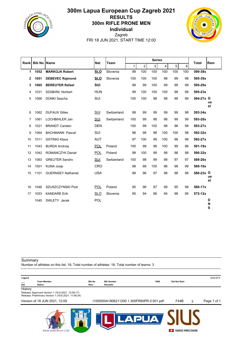

## **300m Lapua European Cup Zagreb 2021 RESULTS 300m RIFLE PRONE MEN Individual** Zagreb FRI 18 JUN 2021, START TIME 12:00



| Rank         | <b>Bib No</b> | <b>Name</b>               | Team       |             |             | <b>Series</b> |     |     |     | <b>Total</b> | <b>Rem</b>  |             |
|--------------|---------------|---------------------------|------------|-------------|-------------|---------------|-----|-----|-----|--------------|-------------|-------------|
|              |               |                           | <b>Nat</b> |             | $\mathbf 1$ | 2             | 3   | 4   | 5   | 6            |             |             |
| 1            | 1052          | <b>MARKOJA Robert</b>     | <b>SLO</b> | Slovenia    | 99          | 100           | 100 | 100 | 100 | 100          | 599-38x     |             |
| $\mathbf{2}$ | 1051          | <b>DEBEVEC Rajmond</b>    | <b>SLO</b> | Slovenia    | 100         | 100           | 100 | 98  | 99  | 98           | 595-39x     |             |
| 3            | 1065          | <b>BEREUTER Rafael</b>    | <b>SUI</b> |             | 99          | 99            | 100 | 99  | 99  | 99           | 595-29x     |             |
| 4            | 1031          | SZABIÁN Norbert           | <b>HUN</b> |             | 99          | 100           | 100 | 100 | 98  | 98           | 595-23x     |             |
| 5            | 1066          | DÜNKI Sascha              | SUI        |             | 100         | 100           | 98  | 98  | 99  | 99           | 594-27x G   |             |
|              |               |                           |            |             |             |               |     |     |     |              |             | ue<br>st    |
| 6            | 1062          | <b>DUFAUX Gilles</b>      | SUI        | Switzerland | 99          | 99            | 99  | 99  | 99  | 98           | 593-34x     |             |
| 7            | 1061          | LOCHBIHLER Jan            | SUI        | Switzerland | 100         | 99            | 98  | 98  | 99  | 99           | 593-28x     |             |
| 8            | 1021          | <b>BRANDT Carsten</b>     | <b>DEN</b> |             | 100         | 99            | 100 | 98  | 98  | 98           | 593-27x     |             |
| 9            | 1064          | <b>BACHMANN Pascal</b>    | <b>SUI</b> |             | 98          | 98            | 98  | 100 | 100 | 98           | 592-32x     |             |
| 10           | 1011          | <b>GSTINIG Klaus</b>      | <b>AUT</b> |             | 97          | 100           | 99  | 100 | 98  | 98           | 592-27x     |             |
| 11           | 1043          | <b>BURDA Andrzej</b>      | <b>POL</b> | Poland      | 100         | 98            | 98  | 100 | 99  | 96           | 591-19x     |             |
| 12           | 1042          | <b>ROMANCZYK Daniel</b>   | <b>POL</b> | Poland      | 99          | 100           | 99  | 98  | 96  | 98           | 590-32x     |             |
| 13           | 1063          | <b>GREUTER Sandro</b>     | <b>SUI</b> | Switzerland | 100         | 98            | 99  | 98  | 97  | 97           | 589-26x     |             |
| 14           | 1001          | <b>KUNA Josip</b>         | CRO        |             | 98          | 98            | 100 | 96  | 98  | 99           | 589-18x     |             |
| 15           | 1101          | <b>GUERNSEY Nathaniel</b> | <b>USA</b> |             | 99          | 96            | 97  | 98  | 98  | 98           | 586-23x G   |             |
|              |               |                           |            |             |             |               |     |     |     |              |             | ue<br>st    |
| 16           | 1046          | SZUSZCZYNSKI Piotr        | <b>POL</b> | Poland      | 95          | 96            | 97  | 99  | 95  | 98           | 580-17x     |             |
| 17           | 1053          | <b>KANDARE Erik</b>       | <b>SLO</b> | Slovenia    | 95          | 94            | 96  | 94  | 98  | 95           | $572 - 12x$ |             |
|              | 1045          | SWLETY Jacek              | <b>POL</b> |             |             |               |     |     |     |              |             | D<br>N<br>S |

#### **Summary**

Number of athletes on this list: 18; Total number of athletes: 18; Total number of teams: 3

| Legend         |                                                                                                                     |               |                                           |   |                        |   | 4E6A3678    |
|----------------|---------------------------------------------------------------------------------------------------------------------|---------------|-------------------------------------------|---|------------------------|---|-------------|
|                | <b>Team Member</b>                                                                                                  | <b>Bib No</b> | <b>DNS</b><br><b>Bib Number</b>           |   | <b>Did Not Start</b>   |   |             |
| Nat<br>History | Nation<br>Release: Approved Version 1 (18.6.2021. 12:09:17)<br>Release: Preliminary Version 1 (18.6.2021. 11:56:24) | Rem           | Remarks                                   |   |                        |   |             |
|                | Version of 18 JUN 2021, 12:09                                                                                       |               | I100000IA1806211200.1.300FR60PR.0.001.pdf |   | F44B                   | 3 | Page 1 of 1 |
|                | <b>300M EUROPEAN CUP</b>                                                                                            |               |                                           | ۰ | <b>SWISS PRECISION</b> |   |             |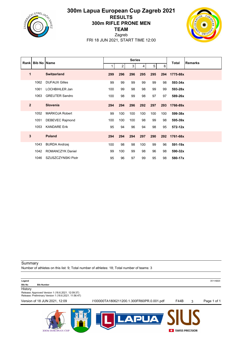

## **300m Lapua European Cup Zagreb 2021 RESULTS 300m RIFLE PRONE MEN TEAM**



Zagreb FRI 18 JUN 2021, START TIME 12:00

| <b>Rank</b>    | <b>Bib No Name</b> |                        |     |                | <b>Series</b> |     |     |     | <b>Total</b> | <b>Remarks</b> |
|----------------|--------------------|------------------------|-----|----------------|---------------|-----|-----|-----|--------------|----------------|
|                |                    |                        | 1   | 2 <sub>1</sub> | 3             | 4   | 5   | 6   |              |                |
| 1              |                    | <b>Switzerland</b>     | 299 | 296            | 296           | 295 | 295 | 294 | 1775-88x     |                |
|                | 1062               | <b>DUFAUX Gilles</b>   | 99  | 99             | 99            | 99  | 99  | 98  | 593-34x      |                |
|                | 1061               | LOCHBIHLER Jan         | 100 | 99             | 98            | 98  | 99  | 99  | 593-28x      |                |
|                | 1063               | <b>GREUTER Sandro</b>  | 100 | 98             | 99            | 98  | 97  | 97  | 589-26x      |                |
| $\overline{2}$ |                    | <b>Slovenia</b>        | 294 | 294            | 296           | 292 | 297 | 293 | 1766-89x     |                |
|                | 1052               | <b>MARKOJA Robert</b>  | 99  | 100            | 100           | 100 | 100 | 100 | 599-38x      |                |
|                | 1051               | <b>DEBEVEC Rajmond</b> | 100 | 100            | 100           | 98  | 99  | 98  | 595-39x      |                |
|                | 1053               | <b>KANDARE Erik</b>    | 95  | 94             | 96            | 94  | 98  | 95  | $572 - 12x$  |                |
| 3              |                    | <b>Poland</b>          | 294 | 294            | 294           | 297 | 290 | 292 | 1761-68x     |                |
|                | 1043               | <b>BURDA Andrzej</b>   | 100 | 98             | 98            | 100 | 99  | 96  | 591-19x      |                |
|                | 1042               | ROMANCZYK Daniel       | 99  | 100            | 99            | 98  | 96  | 98  | 590-32x      |                |
|                | 1046               | SZUSZCZYNSKI Piotr     | 95  | 96             | 97            | 99  | 95  | 98  | 580-17x      |                |

Summary

**300M EUROPEAN CUP** 

Number of athletes on this list: 9; Total number of athletes: 18; Total number of teams: 3

| Legend        |                                                                                                           |                                           |      |   | 3511AB20    |
|---------------|-----------------------------------------------------------------------------------------------------------|-------------------------------------------|------|---|-------------|
| <b>Bib No</b> | <b>Bib Number</b>                                                                                         |                                           |      |   |             |
| History       | Release: Approved Version 1 (18.6.2021. 12:09:37)<br>Release: Preliminary Version 1 (18.6.2021. 11:56:47) |                                           |      |   |             |
|               | Version of 18 JUN 2021, 12:09                                                                             | I100000TA1806211200.1.300FR60PR.0.001.pdf | F44B | 3 | Page 1 of 1 |
|               |                                                                                                           |                                           |      |   |             |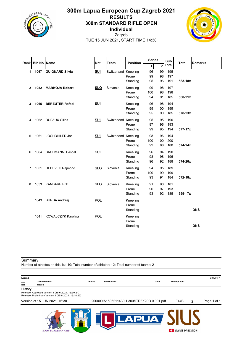

## **300m Lapua European Cup Zagreb 2021 RESULTS 300m STANDARD RIFLE OPEN Individual**



Zagreb TUE 15 JUN 2021, START TIME 14:30

| Rankl        |      | <b>Bib No Name</b>        | <b>Nat</b> | Team                 | <b>Position</b>               | <b>Series</b>   |                 | Sub               | <b>Total</b> | <b>Remarks</b> |
|--------------|------|---------------------------|------------|----------------------|-------------------------------|-----------------|-----------------|-------------------|--------------|----------------|
|              |      |                           |            |                      |                               | $\mathbf{1}$    | 2               | Total             |              |                |
| 1            | 1067 | <b>GUIGNARD Silvia</b>    | <b>SUI</b> | Switzerland Kneeling | Prone<br>Standing             | 96<br>99<br>95  | 99<br>98<br>96  | 195<br>197<br>191 | 583-18x      |                |
| $\mathbf{2}$ |      | 1052 MARKOJA Robert       | <b>SLO</b> | Slovenia             | Kneeling<br>Prone<br>Standing | 99<br>100<br>94 | 98<br>98<br>91  | 197<br>198<br>185 | 580-21x      |                |
| 3            | 1065 | <b>BEREUTER Rafael</b>    | <b>SUI</b> |                      | Kneeling<br>Prone<br>Standing | 96<br>99<br>95  | 98<br>100<br>90 | 194<br>199<br>185 | 578-23x      |                |
| 4            | 1062 | <b>DUFAUX Gilles</b>      | <b>SUI</b> | Switzerland Kneeling | Prone<br>Standing             | 95<br>97<br>99  | 95<br>96<br>95  | 190<br>193<br>194 | 577-17x      |                |
| 5            | 1061 | LOCHBIHLER Jan            | <b>SUI</b> | Switzerland Kneeling | Prone<br>Standing             | 98<br>100<br>92 | 96<br>100<br>88 | 194<br>200<br>180 | 574-24x      |                |
| 6            | 1064 | <b>BACHMANN Pascal</b>    | <b>SUI</b> |                      | Kneeling<br>Prone<br>Standing | 96<br>98<br>96  | 94<br>98<br>92  | 190<br>196<br>188 | 574-20x      |                |
| 7            | 1051 | DEBEVEC Rajmond           | SLO        | Slovenia             | Kneeling<br>Prone<br>Standing | 94<br>100<br>93 | 95<br>99<br>91  | 189<br>199<br>184 | 572-18x      |                |
| 8            | 1053 | <b>KANDARE Erik</b>       | <b>SLO</b> | Slovenia             | Kneeling<br>Prone<br>Standing | 91<br>96<br>93  | 90<br>97<br>92  | 181<br>193<br>185 | 559- 7x      |                |
|              | 1043 | <b>BURDA Andrzej</b>      | POL        |                      | Kneeling<br>Prone<br>Standing |                 |                 |                   |              | <b>DNS</b>     |
|              | 1041 | <b>KOWALCZYK Karolina</b> | POL        |                      | Kneeling<br>Prone<br>Standing |                 |                 |                   |              | <b>DNS</b>     |

**Summary** 

Number of athletes on this list: 10; Total number of athletes: 12; Total number of teams: 2

| Legend     |                                                                                                           |               |                                             |            |                        |   | 281B56F4    |
|------------|-----------------------------------------------------------------------------------------------------------|---------------|---------------------------------------------|------------|------------------------|---|-------------|
| <b>Nat</b> | <b>Team Member</b><br>Nation                                                                              | <b>Bib No</b> | <b>Bib Number</b>                           | <b>DNS</b> | <b>Did Not Start</b>   |   |             |
| History    | Release: Approved Version 1 (15.6.2021. 16:30:24)<br>Release: Preliminary Version 1 (15.6.2021. 16:18:22) |               |                                             |            |                        |   |             |
|            | Version of 15 JUN 2021, 16:30                                                                             |               | I200000IA1506211430.1.300STR3X20O.0.001.pdf |            | <b>F44B</b>            | 2 | Page 1 of 1 |
|            |                                                                                                           |               |                                             |            | <b>SWISS PRECISION</b> |   |             |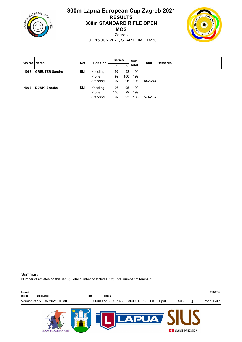

## **300m Lapua European Cup Zagreb 2021 RESULTS 300m STANDARD RIFLE OPEN MQS**



Zagreb TUE 15 JUN 2021, START TIME 14:30

| <b>Bib No Name</b> |                       | <b>Nat</b> | <b>Position</b> | <b>Series</b> |     | Sub   | <b>Total</b> | <b>Remarks</b> |
|--------------------|-----------------------|------------|-----------------|---------------|-----|-------|--------------|----------------|
|                    |                       |            |                 |               | c   | Total |              |                |
| 1063               | <b>GREUTER Sandro</b> | SUI        | Kneeling        | 97            | 93  | 190   |              |                |
|                    |                       |            | Prone           | 99            | 100 | 199   |              |                |
|                    |                       |            | Standing        | 97            | 96  | 193   | 582-24x      |                |
| 1066               | DÜNKI Sascha          | SUI        | Kneeling        | 95            | 95  | 190   |              |                |
|                    |                       |            | Prone           | 100           | 99  | 199   |              |                |
|                    |                       |            | Standing        | 92            | 93  | 185   | 574-16x      |                |

**Summary** 

Number of athletes on this list: 2; Total number of athletes: 12; Total number of teams: 2

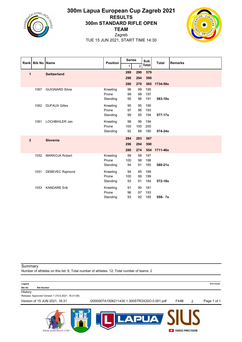

## **300m Lapua European Cup Zagreb 2021 RESULTS 300m STANDARD RIFLE OPEN TEAM**



Zagreb TUE 15 JUN 2021, START TIME 14:30

|                |      | Rank Bib No Name       | <b>Position</b> | <b>Series</b> |                | Sub          | <b>Total</b> | <b>Remarks</b> |
|----------------|------|------------------------|-----------------|---------------|----------------|--------------|--------------|----------------|
|                |      |                        |                 | $\mathbf{1}$  | $\overline{2}$ | <b>Total</b> |              |                |
| 1              |      | <b>Switzerland</b>     |                 | 289           | 290            | 579          |              |                |
|                |      |                        |                 | 296           | 294            | 590          |              |                |
|                |      |                        |                 | 286           | 279            | 565          | 1734-59x     |                |
|                | 1067 | <b>GUIGNARD Silvia</b> | Kneeling        | 96            | 99             | 195          |              |                |
|                |      |                        | Prone           | 99            | 98             | 197          |              |                |
|                |      |                        | Standing        | 95            | 96             | 191          | 583-18x      |                |
|                | 1062 | <b>DUFAUX Gilles</b>   | Kneeling        | 95            | 95             | 190          |              |                |
|                |      |                        | Prone           | 97            | 96             | 193          |              |                |
|                |      |                        | Standing        | 99            | 95             | 194          | 577-17x      |                |
|                | 1061 | LOCHBIHLER Jan         | Kneeling        | 98            | 96             | 194          |              |                |
|                |      |                        | Prone           | 100           | 100            | 200          |              |                |
|                |      |                        | Standing        | 92            | 88             | 180          | 574-24x      |                |
| $\overline{2}$ |      | Slovenia               |                 | 284           | 283            | 567          |              |                |
|                |      |                        |                 | 296           | 294            | 590          |              |                |
|                |      |                        |                 | 280           | 274            |              | 554 1711-46x |                |
|                | 1052 | <b>MARKOJA Robert</b>  | Kneeling        | 99            | 98             | 197          |              |                |
|                |      |                        | Prone           | 100           | 98             | 198          |              |                |
|                |      |                        | Standing        | 94            | 91             | 185          | 580-21x      |                |
|                | 1051 | <b>DEBEVEC Rajmond</b> | Kneeling        | 94            | 95             | 189          |              |                |
|                |      |                        | Prone           | 100           | 99             | 199          |              |                |
|                |      |                        | Standing        | 93            | 91             | 184          | 572-18x      |                |
|                | 1053 | <b>KANDARE Erik</b>    | Kneeling        | 91            | 90             | 181          |              |                |
|                |      |                        | Prone           | 96            | 97             | 193          |              |                |
|                |      |                        | Standing        | 93            | 92             | 185          | 559-7x       |                |

**Summary** 

**300M EUROPEAN CUP** 

Number of athletes on this list: 6; Total number of athletes: 12; Total number of teams: 2

**Legend** 9FB18DB5 **Bib No Bib Number History** Release: Approved Version 1 (15.6.2021. 16:31:09) Version of 15 JUN 2021, 16:31 I200000TA1506211430.1.300STR3X20O.0.001.pdf F44B 2 Page 1 of 1**DL**  $\blacktriangle$  $\blacktriangle$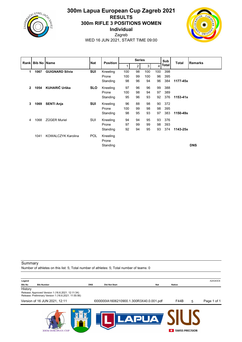

## **300m Lapua European Cup Zagreb 2021 RESULTS 300m RIFLE 3 POSITIONS WOMEN Individual**



Zagreb WED 16 JUN 2021, START TIME 09:00

| Rank          | <b>Bib No Name</b> |                           | <b>Nat</b> | <b>Position</b> |     | <b>Series</b> |     |     | Sub   | <b>Total</b> | <b>Remarks</b> |
|---------------|--------------------|---------------------------|------------|-----------------|-----|---------------|-----|-----|-------|--------------|----------------|
|               |                    |                           |            |                 |     | 2             | 3   | Δ   | Total |              |                |
| 1             | 1067               | <b>GUIGNARD Silvia</b>    | <b>SUI</b> | Kneeling        | 100 | 98            | 100 | 100 | 398   |              |                |
|               |                    |                           |            | Prone           | 100 | 99            | 100 | 96  | 395   |              |                |
|               |                    |                           |            | Standing        | 98  | 96            | 94  | 96  | 384   | 1177-45x     |                |
| $\mathcal{P}$ |                    | 1054 KUHARIČ Urška        | <b>SLO</b> | Kneeling        | 97  | 96            | 96  | 99  | 388   |              |                |
|               |                    |                           |            | Prone           | 100 | 98            | 94  | 97  | 389   |              |                |
|               |                    |                           |            | Standing        | 95  | 96            | 93  | 92  | 376   | $1153 - 41x$ |                |
| 3             | 1069               | <b>SENTI Anja</b>         | SUI        | Kneeling        | 96  | 88            | 98  | 90  | 372   |              |                |
|               |                    |                           |            | Prone           | 100 | 99            | 98  | 98  | 395   |              |                |
|               |                    |                           |            | Standing        | 98  | 95            | 93  | 97  | 383   | 1150-49x     |                |
| 4             | 1068               | <b>ZÜGER Muriel</b>       | <b>SUI</b> | Kneeling        | 94  | 94            | 95  | 93  | 376   |              |                |
|               |                    |                           |            | Prone           | 97  | 99            | 99  | 98  | 393   |              |                |
|               |                    |                           |            | Standing        | 92  | 94            | 95  | 93  | 374   | 1143-25x     |                |
|               | 1041               | <b>KOWALCZYK Karolina</b> | <b>POL</b> | Kneeling        |     |               |     |     |       |              |                |
|               |                    |                           |            | Prone           |     |               |     |     |       |              |                |
|               |                    |                           |            | Standing        |     |               |     |     |       |              | <b>DNS</b>     |

Summary

Number of athletes on this list: 5; Total number of athletes: 5; Total number of teams: 0

| Legend        |                                                                                                           |            |                                          |     |                        |   | A2A343C6    |
|---------------|-----------------------------------------------------------------------------------------------------------|------------|------------------------------------------|-----|------------------------|---|-------------|
| <b>Bib No</b> | <b>Bib Number</b>                                                                                         | <b>DNS</b> | <b>Did Not Start</b>                     | Nat | Nation                 |   |             |
| History       |                                                                                                           |            |                                          |     |                        |   |             |
|               | Release: Approved Version 1 (16.6.2021. 12:11:34)<br>Release: Preliminary Version 1 (16.6.2021. 11:55:56) |            |                                          |     |                        |   |             |
|               | Version of 16 JUN 2021, 12:11                                                                             |            | I000000IA1606210900.1.300R3X40.0.001.pdf |     | F44B                   | 5 | Page 1 of 1 |
|               | <b>300M EUROPEAN CUP</b>                                                                                  |            |                                          |     | <b>SWISS PRECISION</b> |   |             |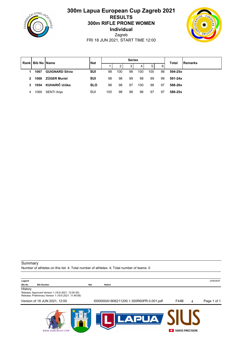

## **300m Lapua European Cup Zagreb 2021 RESULTS 300m RIFLE PRONE WOMEN Individual** Zagreb



FRI 18 JUN 2021, START TIME 12:00

| Rankl          | <b>Bib No Name</b> |                        | <b>Nat</b> |     |     | <b>Series</b> |                |     |    | <b>Total</b> | <b>IRemarks</b> |
|----------------|--------------------|------------------------|------------|-----|-----|---------------|----------------|-----|----|--------------|-----------------|
|                |                    |                        |            |     | 2   | 3             | $\overline{4}$ | 5   | 6  |              |                 |
|                | 1067               | <b>GUIGNARD Silvia</b> | <b>SUI</b> | 98  | 100 | 98            | 100            | 100 | 98 | 594-25x      |                 |
| $\overline{2}$ | 1068               | <b>ZÜGER Muriel</b>    | <b>SUI</b> | 98  | 98  | 99            | 98             | 99  | 99 | 591-24x      |                 |
| 3              | 1054               | KUHARIČ Urška          | <b>SLO</b> | 98  | 98  | 97            | 100            | 98  | 97 | 588-26x      |                 |
| 4              | 1069               | SENTI Anja             | SUI        | 100 | 98  | 98            | 96             | 97  | 97 | 586-25x      |                 |

#### Summary Number of athletes on this list: 4; Total number of athletes: 4; Total number of teams: 0

| Legend | D5953E5F<br>. |
|--------|---------------|
|        |               |

#### **Bib No Bib Number Nat Nation**

**History** 

Release: Approved Version 1 (18.6.2021. 12:00:35) Release: Preliminary Version 1 (18.6.2021. 11:49:08)

Version of 18 JUN 2021, 12:00 I000000IA1806211200.1.300R60PR.0.001.pdf F44B 4 Page 1 of 1



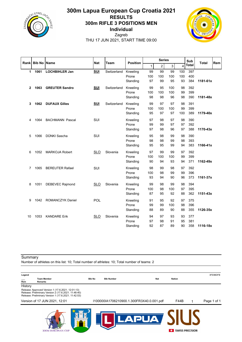

## **300m Lapua European Cup Croatia 2021 RESULTS 300m RIFLE 3 POSITIONS MEN Individual** Zagreb THU 17 JUN 2021, START TIME 09:00



| Rankl        | <b>Bib No Name</b> |                         | <b>Nat</b> | <b>Team</b> | <b>Position</b> |     | <b>Series</b>  |     |                | Sub          | <b>Total</b> | Rem |
|--------------|--------------------|-------------------------|------------|-------------|-----------------|-----|----------------|-----|----------------|--------------|--------------|-----|
|              |                    |                         |            |             |                 | 1   | $\overline{c}$ | 3   | $\overline{4}$ | <b>Total</b> |              |     |
| 1            | 1061               | <b>LOCHBIHLER Jan</b>   | <b>SUI</b> | Switzerland | Kneeling        | 99  | 99             | 99  | 100            | 397          |              |     |
|              |                    |                         |            |             | Prone           | 100 | 100            | 100 | 100            | 400          |              |     |
|              |                    |                         |            |             | Standing        | 97  | 99             | 95  | 93             | 384          | 1181-61x     |     |
| $\mathbf{2}$ | 1063               | <b>GREUTER Sandro</b>   | <b>SUI</b> | Switzerland | Kneeling        | 99  | 95             | 100 | 98             | 392          |              |     |
|              |                    |                         |            |             | Prone           | 100 | 100            | 100 | 99             | 399          |              |     |
|              |                    |                         |            |             | Standing        | 98  | 98             | 96  | 98             | 390          | 1181-48x     |     |
| 3            | 1062               | <b>DUFAUX Gilles</b>    | <b>SUI</b> | Switzerland | Kneeling        | 99  | 97             | 97  | 98             | 391          |              |     |
|              |                    |                         |            |             | Prone           | 100 | 100            | 100 | 99             | 399          |              |     |
|              |                    |                         |            |             | Standing        | 95  | 97             | 97  | 100            | 389          | 1179-40x     |     |
| 4            | 1064               | <b>BACHMANN Pascal</b>  | SUI        |             | Kneeling        | 97  | 98             | 97  | 98             | 390          |              |     |
|              |                    |                         |            |             | Prone           | 99  | 99             | 97  | 97             | 392          |              |     |
|              |                    |                         |            |             | Standing        | 97  | 98             | 96  | 97             | 388          | 1170-43x     |     |
| 5            | 1066               | DÜNKI Sascha            | SUI        |             | Kneeling        | 95  | 98             | 99  | 98             | 390          |              |     |
|              |                    |                         |            |             | Prone           | 98  | 98             | 99  | 98             | 393          |              |     |
|              |                    |                         |            |             | Standing        | 95  | 95             | 99  | 94             | 383          | 1166-41x     |     |
| 6            | 1052               | <b>MARKOJA Robert</b>   | <b>SLO</b> | Slovenia    | Kneeling        | 97  | 99             | 99  | 97             | 392          |              |     |
|              |                    |                         |            |             | Prone           | 100 | 100            | 100 | 99             | 399          |              |     |
|              |                    |                         |            |             | Standing        | 90  | 94             | 93  | 94             | 371          | 1162-49x     |     |
| 7            | 1065               | <b>BEREUTER Rafael</b>  | SUI        |             | Kneeling        | 98  | 99             | 98  | 97             | 392          |              |     |
|              |                    |                         |            |             | Prone           | 100 | 98             | 99  | 99             | 396          |              |     |
|              |                    |                         |            |             | Standing        | 93  | 94             | 90  | 96             | 373          | 1161-37x     |     |
| 8            | 1051               | <b>DEBEVEC Rajmond</b>  | <b>SLO</b> | Slovenia    | Kneeling        | 99  | 98             | 99  | 98             | 394          |              |     |
|              |                    |                         |            |             | Prone           | 100 | 98             | 100 | 97             | 395          |              |     |
|              |                    |                         |            |             | Standing        | 87  | 95             | 92  | 88             | 362          | $1151 - 43x$ |     |
| 9            | 1042               | <b>ROMANCZYK Daniel</b> | POL        |             | Kneeling        | 91  | 95             | 92  | 97             | 375          |              |     |
|              |                    |                         |            |             | Prone           | 99  | 99             | 100 | 98             | 396          |              |     |
|              |                    |                         |            |             | Standing        | 88  | 89             | 90  | 88             | 355          | 1126-35x     |     |
| 10           | 1053               | <b>KANDARE Erik</b>     | <b>SLO</b> | Slovenia    | Kneeling        | 94  | 97             | 93  | 93             | 377          |              |     |
|              |                    |                         |            |             | Prone           | 97  | 98             | 91  | 95             | 381          |              |     |
|              |                    |                         |            |             | Standing        | 92  | 87             | 89  | 90             | 358          | 1116-18x     |     |

## **Summary**

Number of athletes on this list: 10; Total number of athletes: 10; Total number of teams: 2

| Legend<br>Rem | <b>Team Member</b><br>Remarks                                                                                                                                     | <b>Bib No</b> | <b>Nat</b><br><b>Bib Number</b>           | Nation                      | 3FE9BDFB    |
|---------------|-------------------------------------------------------------------------------------------------------------------------------------------------------------------|---------------|-------------------------------------------|-----------------------------|-------------|
| History       | Release: Approved Version 1 (17.6.2021. 12:01:13)<br>Release: Preliminary Version 2 (17.6.2021. 11:48:40)<br>Release: Preliminary Version 1 (17.6.2021. 11:42:53) |               |                                           |                             |             |
|               | Version of 17 JUN 2021, 12:01                                                                                                                                     |               | I100000IA1706210900.1.300FR3X40.0.001.pdf | F44B                        | Page 1 of 1 |
|               | <b>300M EUROPEAN CUP</b>                                                                                                                                          |               |                                           | <b>SWISS PRECISION</b><br>œ |             |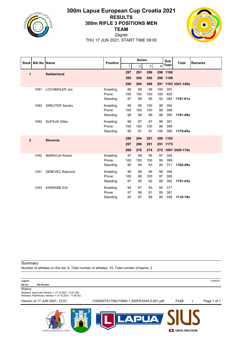

## **300m Lapua European Cup Croatia 2021 RESULTS 300m RIFLE 3 POSITIONS MEN TEAM**



Zagreb THU 17 JUN 2021, START TIME 09:00

|                | Rank Bib No Name |                        | <b>Position</b> |              | <b>Series</b>    |     |     | Sub      | <b>Total</b>       | <b>Remarks</b> |
|----------------|------------------|------------------------|-----------------|--------------|------------------|-----|-----|----------|--------------------|----------------|
|                |                  |                        |                 | $\mathbf{1}$ | $\boldsymbol{2}$ | 3   | 4   | Total    |                    |                |
| 1              |                  | <b>Switzerland</b>     |                 | 297          | 291              | 296 |     | 296 1180 |                    |                |
|                |                  |                        |                 | 300          | 300              | 300 |     | 298 1198 |                    |                |
|                |                  |                        |                 | 290          | 294              | 288 |     |          | 291 1163 3541-149x |                |
|                | 1061             | LOCHBIHLER Jan         | Kneeling        | 99           | 99               | 99  | 100 | 397      |                    |                |
|                |                  |                        | Prone           | 100          | 100              | 100 | 100 | 400      |                    |                |
|                |                  |                        | Standing        | 97           | 99               | 95  | 93  | 384      | 1181-61x           |                |
|                | 1063             | <b>GREUTER Sandro</b>  | Kneeling        | 99           | 95               | 100 | 98  | 392      |                    |                |
|                |                  |                        | Prone           | 100          | 100              | 100 | 99  | 399      |                    |                |
|                |                  |                        | Standing        | 98           | 98               | 96  | 98  | 390      | 1181-48x           |                |
|                | 1062             | <b>DUFAUX Gilles</b>   | Kneeling        | 99           | 97               | 97  | 98  | 391      |                    |                |
|                |                  |                        | Prone           | 100          | 100              | 100 | 99  | 399      |                    |                |
|                |                  |                        | Standing        | 95           | 97               | 97  | 100 | 389      | 1179-40x           |                |
| $\overline{2}$ |                  | <b>Slovenia</b>        |                 | 290          | 294              | 291 |     | 288 1163 |                    |                |
|                |                  |                        |                 | 297          | 296              | 291 |     | 291 1175 |                    |                |
|                |                  |                        |                 | 269          | 276              | 274 |     |          | 272 1091 3429-110x |                |
|                | 1052             | <b>MARKOJA Robert</b>  | Kneeling        | 97           | 99               | 99  | 97  | 392      |                    |                |
|                |                  |                        | Prone           | 100          | 100              | 100 | 99  | 399      |                    |                |
|                |                  |                        | Standing        | 90           | 94               | 93  | 94  | 371      | 1162-49x           |                |
|                | 1051             | <b>DEBEVEC Rajmond</b> | Kneeling        | 99           | 98               | 99  | 98  | 394      |                    |                |
|                |                  |                        | Prone           | 100          | 98               | 100 | 97  | 395      |                    |                |
|                |                  |                        | Standing        | 87           | 95               | 92  | 88  | 362      | $1151 - 43x$       |                |
|                | 1053             | <b>KANDARE Erik</b>    | Kneeling        | 94           | 97               | 93  | 93  | 377      |                    |                |
|                |                  |                        | Prone           | 97           | 98               | 91  | 95  | 381      |                    |                |
|                |                  |                        | Standing        | 92           | 87               | 89  | 90  | 358      | 1116-18x           |                |

Summary

**300M EUROPEAN CUP** 

Number of athletes on this list: 6; Total number of athletes: 10; Total number of teams: 2

| Legend                                                       |                                           |      | 11E9B2A7    |
|--------------------------------------------------------------|-------------------------------------------|------|-------------|
| <b>Bib No</b><br><b>Bib Number</b>                           |                                           |      |             |
| History<br>Release: Approved Version 1 (17.6.2021. 12:01:36) |                                           |      |             |
| Release: Preliminary Version 1 (17.6.2021. 11:55:42)         |                                           |      |             |
| Version of 17 JUN 2021, 12:01                                | I100000TA1706210900.1.300FR3X40.0.001.pdf | F44B | Page 1 of 1 |
|                                                              |                                           |      |             |
|                                                              |                                           |      |             |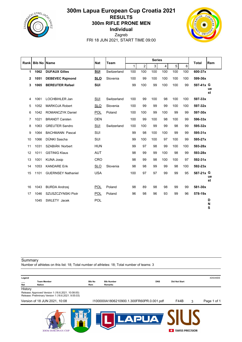

## **300m Lapua European Cup Croatia 2021 RESULTS 300m RIFLE PRONE MEN Individual** Zagreb

FRI 18 JUN 2021, START TIME 09:00



| Rank | <b>Bib No</b> | <b>Name</b>               | <b>Nat</b> | Team        | <b>Series</b> |                |     |     | <b>Total</b> | <b>Rem</b>       |           |          |
|------|---------------|---------------------------|------------|-------------|---------------|----------------|-----|-----|--------------|------------------|-----------|----------|
|      |               |                           |            |             | 1             | $\overline{c}$ | 3   | 4   | 5            | $6 \overline{6}$ |           |          |
| 1    | 1062          | <b>DUFAUX Gilles</b>      | <b>SUI</b> | Switzerland | 100           | 100            | 100 | 100 | 100          | 100              | 600-37x   |          |
| 2    | 1051          | <b>DEBEVEC Rajmond</b>    | <b>SLO</b> | Slovenia    | 100           | 99             | 100 | 100 | 100          | 100              | 599-36x   |          |
| 3    | 1065          | <b>BEREUTER Rafael</b>    | <b>SUI</b> |             | 99            | 100            | 99  | 100 | 100          | 99               | 597-41x G | ue       |
|      |               |                           |            |             |               |                |     |     |              |                  |           | st       |
| 4    | 1061          | LOCHBIHLER Jan            | SUI        | Switzerland | 100           | 99             | 100 | 98  | 100          | 100              | 597-33x   |          |
| 5    | 1052          | <b>MARKOJA Robert</b>     | <b>SLO</b> | Slovenia    | 100           | 99             | 99  | 99  | 100          | 100              | 597-32x   |          |
| 6    | 1042          | <b>ROMANCZYK Daniel</b>   | <b>POL</b> | Poland      | 100           | 100            | 99  | 100 | 99           | 99               | 597-30x   |          |
| 7    | 1021          | <b>BRANDT Carsten</b>     | <b>DEN</b> |             | 100           | 99             | 100 | 98  | 100          | 99               | 596-33x   |          |
| 8    | 1063          | <b>GREUTER Sandro</b>     | <b>SUI</b> | Switzerland | 100           | 100            | 99  | 99  | 98           | 99               | 595-32x   |          |
| 9    | 1064          | <b>BACHMANN Pascal</b>    | SUI        |             | 99            | 98             | 100 | 100 | 99           | 99               | 595-31x   |          |
| 10   | 1066          | DÜNKI Sascha              | SUI        |             | 99            | 100            | 100 | 97  | 100          | 99               | 595-27x   |          |
| 11   | 1031          | SZABIÁN Norbert           | <b>HUN</b> |             | 99            | 97             | 98  | 99  | 100          | 100              | 593-28x   |          |
| 12   | 1011          | <b>GSTINIG Klaus</b>      | <b>AUT</b> |             | 98            | 99             | 99  | 100 | 98           | 99               | 593-28x   |          |
| 13   | 1001          | <b>KUNA Josip</b>         | CRO        |             | 98            | 99             | 98  | 100 | 100          | 97               | 592-31x   |          |
| 14   | 1053          | <b>KANDARE Erik</b>       | <b>SLO</b> | Slovenia    | 98            | 98             | 99  | 99  | 98           | 100              | 592-23x   |          |
| 15   | 1101          | <b>GUERNSEY Nathaniel</b> | <b>USA</b> |             | 100           | 97             | 97  | 99  | 99           | 95               | 587-21x G |          |
|      |               |                           |            |             |               |                |     |     |              |                  |           | ue<br>st |
| 16   | 1043          | <b>BURDA Andrzej</b>      | <b>POL</b> | Poland      | 98            | 89             | 98  | 98  | 99           | 99               | 581-30x   |          |
| 17   | 1046          | SZUSZCZYNSKI Piotr        | <b>POL</b> | Poland      | 96            | 98             | 96  | 93  | 99           | 96               | 578-19x   |          |
|      | 1045          | SWLETY Jacek              | POL        |             |               |                |     |     |              |                  |           | D        |
|      |               |                           |            |             |               |                |     |     |              |                  |           | N<br>S   |

#### **Summary**

Number of athletes on this list: 18; Total number of athletes: 18; Total number of teams: 3

| Legend     |                                                     |                      |                                            |                      |                        | 4D9349DE    |
|------------|-----------------------------------------------------|----------------------|--------------------------------------------|----------------------|------------------------|-------------|
| <b>Nat</b> | <b>Team Member</b><br><b>Nation</b>                 | <b>Bib No</b><br>Rem | <b>DNS</b><br><b>Bib Number</b><br>Remarks | <b>Did Not Start</b> |                        |             |
| History    | Release: Approved Version 1 (18.6.2021. 10:08:00)   |                      |                                            |                      |                        |             |
|            | Release: Preliminary Version 1 (18.6.2021. 9:55:03) |                      |                                            |                      |                        |             |
|            | Version of 18 JUN 2021, 10:08                       |                      | I100000IA1806210900.1.300FR60PR.0.001.pdf  | F44B                 | 3                      | Page 1 of 1 |
|            |                                                     | E                    |                                            |                      | <b>SWISS PRECISION</b> |             |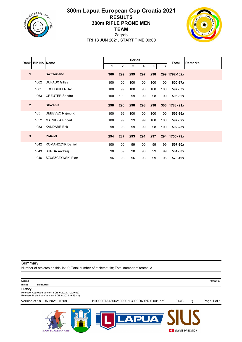

## **300m Lapua European Cup Croatia 2021 RESULTS 300m RIFLE PRONE MEN TEAM**



Zagreb FRI 18 JUN 2021, START TIME 09:00

|                | Rank   Bib No   Name |                         |     |                | <b>Series</b> |     |     |     | <b>Total</b>  | <b>Remarks</b> |
|----------------|----------------------|-------------------------|-----|----------------|---------------|-----|-----|-----|---------------|----------------|
|                |                      |                         | 1   | $\overline{2}$ | 3             | 4   | 5   | 6   |               |                |
| 1              |                      | <b>Switzerland</b>      | 300 | 299            | 299           | 297 | 298 |     | 299 1792-102x |                |
|                | 1062                 | <b>DUFAUX Gilles</b>    | 100 | 100            | 100           | 100 | 100 | 100 | 600-37x       |                |
|                | 1061                 | LOCHBIHLER Jan          | 100 | 99             | 100           | 98  | 100 | 100 | 597-33x       |                |
|                | 1063                 | <b>GREUTER Sandro</b>   | 100 | 100            | 99            | 99  | 98  | 99  | 595-32x       |                |
| $\overline{2}$ |                      | <b>Slovenia</b>         | 298 | 296            | 298           | 298 | 298 |     | 300 1788-91x  |                |
|                | 1051                 | <b>DEBEVEC Rajmond</b>  | 100 | 99             | 100           | 100 | 100 | 100 | 599-36x       |                |
|                | 1052                 | <b>MARKOJA Robert</b>   | 100 | 99             | 99            | 99  | 100 | 100 | 597-32x       |                |
|                | 1053                 | <b>KANDARE Erik</b>     | 98  | 98             | 99            | 99  | 98  | 100 | 592-23x       |                |
| 3              |                      | <b>Poland</b>           | 294 | 287            | 293           | 291 | 297 |     | 294 1756-79x  |                |
|                | 1042                 | <b>ROMANCZYK Daniel</b> | 100 | 100            | 99            | 100 | 99  | 99  | 597-30x       |                |
|                | 1043                 | <b>BURDA Andrzej</b>    | 98  | 89             | 98            | 98  | 99  | 99  | 581-30x       |                |
|                | 1046                 | SZUSZCZYNSKI Piotr      | 96  | 98             | 96            | 93  | 99  | 96  | 578-19x       |                |

Summary

**300M EUROPEAN CUP** 

Number of athletes on this list: 9; Total number of athletes: 18; Total number of teams: 3

| Legend<br><b>Bib No</b> | <b>Bib Number</b>                                                                                        |                                           |             |   | 1D7525B7    |
|-------------------------|----------------------------------------------------------------------------------------------------------|-------------------------------------------|-------------|---|-------------|
| History                 | Release: Approved Version 1 (18.6.2021. 10:09:09)<br>Release: Preliminary Version 1 (18.6.2021. 9:55:41) |                                           |             |   |             |
|                         | Version of 18 JUN 2021, 10:09                                                                            | I100000TA1806210900.1.300FR60PR.0.001.pdf | <b>F44B</b> | 3 | Page 1 of 1 |
|                         |                                                                                                          |                                           |             |   |             |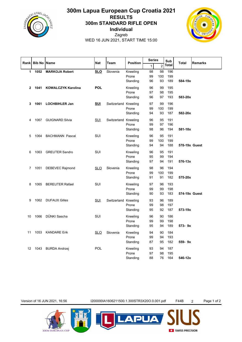

## **300m Lapua European Cup Croatia 2021 RESULTS 300m STANDARD RIFLE OPEN Individual**



Zagreb WED 16 JUN 2021, START TIME 15:00

|                   |               |                           |            |                      |                               | <b>Series</b>  |                 | Sub               |               |                |
|-------------------|---------------|---------------------------|------------|----------------------|-------------------------------|----------------|-----------------|-------------------|---------------|----------------|
| Rank              | <b>Bib No</b> | <b>Name</b>               | <b>Nat</b> | Team                 | <b>Position</b>               | $\mathbf{1}$   | $\overline{c}$  | Total             | <b>Total</b>  | <b>Remarks</b> |
| 1                 | 1052          | <b>MARKOJA Robert</b>     | <b>SLO</b> | Slovenia             | Kneeling<br>Prone<br>Standing | 98<br>99<br>96 | 98<br>100<br>93 | 196<br>199<br>189 | 584-19x       |                |
| $\overline{2}$    | 1041          | <b>KOWALCZYK Karolina</b> | <b>POL</b> |                      | Kneeling<br>Prone<br>Standing | 96<br>97<br>96 | 99<br>98<br>97  | 195<br>195<br>193 | 583-20x       |                |
| 3                 | 1061          | <b>LOCHBIHLER Jan</b>     | <b>SUI</b> | Switzerland Kneeling | Prone<br>Standing             | 97<br>99<br>94 | 99<br>100<br>93 | 196<br>199<br>187 | 582-26x       |                |
| 4                 | 1067          | <b>GUIGNARD Silvia</b>    | <b>SUI</b> | Switzerland Kneeling | Prone<br>Standing             | 96<br>99<br>98 | 95<br>97<br>96  | 191<br>196<br>194 | 581-18x       |                |
| 5                 | 1064          | <b>BACHMANN Pascal</b>    | SUI        |                      | Kneeling<br>Prone<br>Standing | 96<br>99<br>94 | 95<br>100<br>94 | 191<br>199<br>188 | 578-19x Guest |                |
| 6                 | 1063          | <b>GREUTER Sandro</b>     | SUI        |                      | Kneeling<br>Prone<br>Standing | 96<br>95<br>97 | 95<br>99<br>94  | 191<br>194<br>191 | 576-13x       |                |
| 7                 | 1051          | DEBEVEC Rajmond           | SLO        | Slovenia             | Kneeling<br>Prone<br>Standing | 98<br>99<br>91 | 96<br>100<br>91 | 194<br>199<br>182 | 575-20x       |                |
| 8                 | 1065          | <b>BEREUTER Rafael</b>    | SUI        |                      | Kneeling<br>Prone<br>Standing | 97<br>99<br>90 | 96<br>99<br>93  | 193<br>198<br>183 | 574-19x Guest |                |
| 9                 |               | 1062 DUFAUX Gilles        | <b>SUI</b> | Switzerland Kneeling | Prone<br>Standing             | 93<br>99<br>95 | 96<br>98<br>92  | 189<br>197<br>187 | 573-19x       |                |
| 10                | 1066          | DÜNKI Sascha              | SUI        |                      | Kneeling<br>Prone<br>Standing | 96<br>99<br>95 | 90<br>99<br>94  | 186<br>198<br>189 | $573 - 9x$    |                |
| 11                | 1053          | <b>KANDARE Erik</b>       | <b>SLO</b> | Slovenia             | Kneeling<br>Prone<br>Standing | 94<br>99<br>87 | 90<br>94<br>95  | 184<br>193<br>182 | $559 - 9x$    |                |
| $12 \overline{ }$ | 1043          | <b>BURDA Andrzej</b>      | POL        |                      | Kneeling<br>Prone<br>Standing | 93<br>97<br>88 | 94<br>98<br>76  | 187<br>195<br>164 | 546-12x       |                |

Version of 16 JUN 2021, 16:56 I200000IA1606211500.1.300STR3X20O.0.001.pdf F44B 2 Page 1 of 2

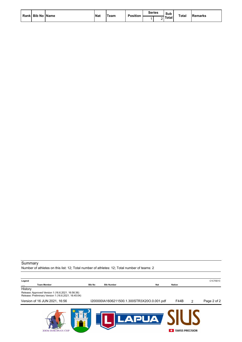| Rank Bib No Name | <b>Nat</b> | <b>Team</b> | <b>Position</b> | <b>Series</b> | Sub     | <b>Total</b> | <b>Remarks</b> |  |
|------------------|------------|-------------|-----------------|---------------|---------|--------------|----------------|--|
|                  |            |             |                 |               | l Total |              |                |  |

#### Summary

Number of athletes on this list: 12; Total number of athletes: 12; Total number of teams: 2

| Legend                                                       |               |                                             |            |        |                        | C1C70D13    |
|--------------------------------------------------------------|---------------|---------------------------------------------|------------|--------|------------------------|-------------|
| <b>Team Member</b>                                           | <b>Bib No</b> | <b>Bib Number</b>                           | <b>Nat</b> | Nation |                        |             |
| History<br>Release: Approved Version 1 (16.6.2021. 16:56:36) |               |                                             |            |        |                        |             |
| Release: Preliminary Version 1 (16.6.2021. 16:45:04)         |               |                                             |            |        |                        |             |
| Version of 16 JUN 2021, 16:56                                |               | I200000IA1606211500.1.300STR3X20O.0.001.pdf |            | F44B   | 2                      | Page 2 of 2 |
| <b>300M EUROPEAN CUP</b>                                     |               |                                             |            |        | <b>SWISS PRECISION</b> |             |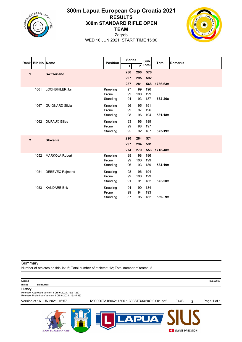

## **300m Lapua European Cup Croatia 2021 RESULTS 300m STANDARD RIFLE OPEN TEAM**



Zagreb WED 16 JUN 2021, START TIME 15:00

|                | Rank Bib No Name |                        | <b>Position</b> | <b>Series</b> |                | Sub   | <b>Total</b> | <b>Remarks</b> |  |
|----------------|------------------|------------------------|-----------------|---------------|----------------|-------|--------------|----------------|--|
|                |                  |                        |                 | 1             | $\overline{2}$ | Total |              |                |  |
| 1              |                  | <b>Switzerland</b>     |                 | 286           | 290            | 576   |              |                |  |
|                |                  |                        |                 | 297           | 295            | 592   |              |                |  |
|                |                  |                        |                 | 287           | 281            | 568   | 1736-63x     |                |  |
|                | 1061             | LOCHBIHLER Jan         | Kneeling        | 97            | 99             | 196   |              |                |  |
|                |                  |                        | Prone           | 99            | 100            | 199   |              |                |  |
|                |                  |                        | Standing        | 94            | 93             | 187   | 582-26x      |                |  |
|                | 1067             | <b>GUIGNARD Silvia</b> | Kneeling        | 96            | 95             | 191   |              |                |  |
|                |                  |                        | Prone           | 99            | 97             | 196   |              |                |  |
|                |                  |                        | Standing        | 98            | 96             | 194   | 581-18x      |                |  |
|                | 1062             | <b>DUFAUX Gilles</b>   | Kneeling        | 93            | 96             | 189   |              |                |  |
|                |                  |                        | Prone           | 99            | 98             | 197   |              |                |  |
|                |                  |                        | Standing        | 95            | 92             | 187   | 573-19x      |                |  |
| $\overline{2}$ |                  | Slovenia               |                 | 290           | 284            | 574   |              |                |  |
|                |                  |                        |                 | 297           | 294            | 591   |              |                |  |
|                |                  |                        |                 | 274           | 279            | 553   | 1718-48x     |                |  |
|                | 1052             | <b>MARKOJA Robert</b>  | Kneeling        | 98            | 98             | 196   |              |                |  |
|                |                  |                        | Prone           | 99            | 100            | 199   |              |                |  |
|                |                  |                        | Standing        | 96            | 93             | 189   | 584-19x      |                |  |
|                | 1051             | <b>DEBEVEC Rajmond</b> | Kneeling        | 98            | 96             | 194   |              |                |  |
|                |                  |                        | Prone           | 99            | 100            | 199   |              |                |  |
|                |                  |                        | Standing        | 91            | 91             | 182   | 575-20x      |                |  |
|                | 1053             | <b>KANDARE Erik</b>    | Kneeling        | 94            | 90             | 184   |              |                |  |
|                |                  |                        | Prone           | 99            | 94             | 193   |              |                |  |
|                |                  |                        | Standing        | 87            | 95             | 182   | 559-9x       |                |  |

Summary

**300M EUROPEAN CUP** 

Number of athletes on this list: 6; Total number of athletes: 12; Total number of teams: 2

| Legend                                                                                                    |                                             |      |   | B0ED25D0    |
|-----------------------------------------------------------------------------------------------------------|---------------------------------------------|------|---|-------------|
| <b>Bib No</b><br><b>Bib Number</b>                                                                        |                                             |      |   |             |
| History                                                                                                   |                                             |      |   |             |
| Release: Approved Version 1 (16.6.2021. 16:57:26)<br>Release: Preliminary Version 1 (16.6.2021. 16:45:38) |                                             |      |   |             |
| Version of 16 JUN 2021, 16:57                                                                             | I200000TA1606211500.1.300STR3X20O.0.001.pdf | F44B | 2 | Page 1 of 1 |
|                                                                                                           |                                             |      |   |             |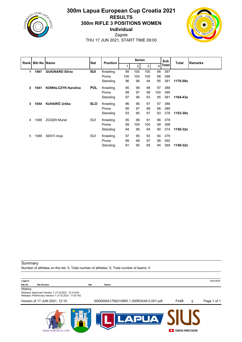

## **300m Lapua European Cup Croatia 2021 RESULTS 300m RIFLE 3 POSITIONS WOMEN Individual** Zagreb



THU 17 JUN 2021, START TIME 09:00

| Rank Bib No Name |      | <b>Nat</b>                | <b>Position</b> | <b>Series</b> |     |     |     | Sub   | <b>Total</b> | Remarks  |  |
|------------------|------|---------------------------|-----------------|---------------|-----|-----|-----|-------|--------------|----------|--|
|                  |      |                           |                 | 1             | 2   | 3   | 4   | Total |              |          |  |
| 1                | 1067 | <b>GUIGNARD Silvia</b>    | <b>SUI</b>      | Kneeling      | 99  | 100 | 100 | 98    | 397          |          |  |
|                  |      |                           |                 | Prone         | 100 | 100 | 100 | 98    | 398          |          |  |
|                  |      |                           |                 | Standing      | 96  | 96  | 94  | 95    | 381          | 1176-58x |  |
| $\overline{2}$   | 1041 | <b>KOWALCZYK Karolina</b> | <b>POL</b>      | Kneeling      | 95  | 98  | 98  | 97    | 388          |          |  |
|                  |      |                           |                 | Prone         | 99  | 97  | 99  | 100   | 395          |          |  |
|                  |      |                           |                 | Standing      | 97  | 96  | 93  | 95    | 381          | 1164-43x |  |
| 3                | 1054 | KUHARIČ Urška             | <b>SLO</b>      | Kneeling      | 96  | 96  | 97  | 97    | 386          |          |  |
|                  |      |                           |                 | Prone         | 95  | 97  | 99  | 98    | 389          |          |  |
|                  |      |                           |                 | Standing      | 93  | 95  | 97  | 93    | 378          | 1153-30x |  |
| 4                | 1068 | <b>ZÜGER Muriel</b>       | SUI             | Kneeling      | 95  | 96  | 91  | 96    | 378          |          |  |
|                  |      |                           |                 | Prone         | 99  | 100 | 100 | 99    | 398          |          |  |
|                  |      |                           |                 | Standing      | 94  | 96  | 94  | 90    | 374          | 1150-32x |  |
| 5                | 1069 | SENTI Anja                | SUI             | Kneeling      | 97  | 95  | 93  | 94    | 379          |          |  |
|                  |      |                           |                 | Prone         | 99  | 98  | 97  | 98    | 392          |          |  |
|                  |      |                           |                 | Standing      | 91  | 95  | 89  | 94    | 369          | 1140-32x |  |

Summary Number of athletes on this list: 5; Total number of athletes: 5; Total number of teams: 0

| A6E23E90 |
|----------|
|          |

#### **Bib No Bib Number Nat Nation**

**History** 

Release: Approved Version 1 (17.6.2021. 12:10:04) Release: Preliminary Version 1 (17.6.2021. 11:57:43)

Version of 17 JUN 2021, 12:10 I000000IA1706210900.1.300R3X40.0.001.pdf F44B 5 Page 1 of 1